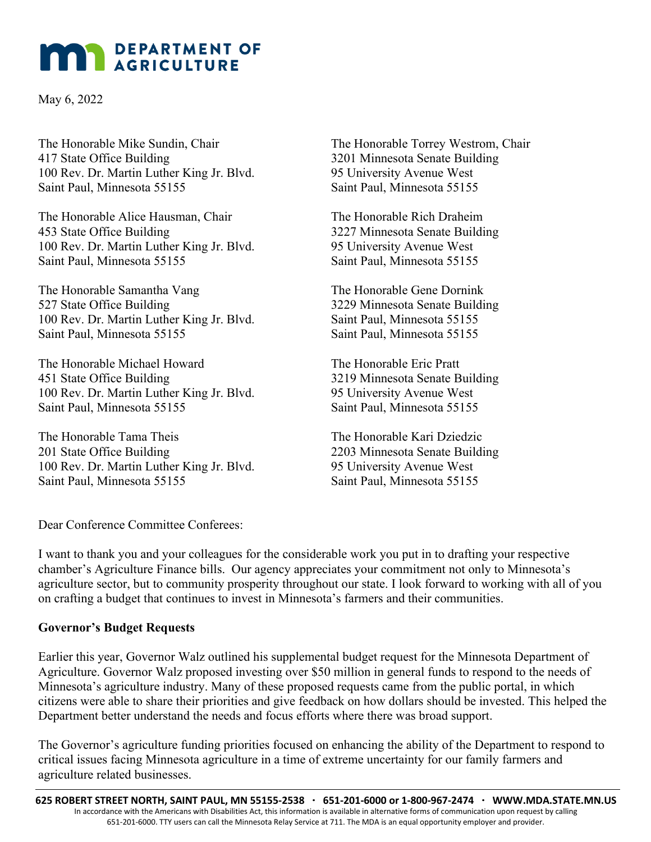## **MAN** DEPARTMENT OF

May 6, 2022

The Honorable Mike Sundin, Chair 417 State Office Building 100 Rev. Dr. Martin Luther King Jr. Blvd. Saint Paul, Minnesota 55155

The Honorable Alice Hausman, Chair 453 State Office Building 100 Rev. Dr. Martin Luther King Jr. Blvd. Saint Paul, Minnesota 55155

The Honorable Samantha Vang 527 State Office Building 100 Rev. Dr. Martin Luther King Jr. Blvd. Saint Paul, Minnesota 55155

The Honorable Michael Howard 451 State Office Building 100 Rev. Dr. Martin Luther King Jr. Blvd. Saint Paul, Minnesota 55155

The Honorable Tama Theis 201 State Office Building 100 Rev. Dr. Martin Luther King Jr. Blvd. Saint Paul, Minnesota 55155

The Honorable Torrey Westrom, Chair 3201 Minnesota Senate Building 95 University Avenue West Saint Paul, Minnesota 55155

The Honorable Rich Draheim 3227 Minnesota Senate Building 95 University Avenue West Saint Paul, Minnesota 55155

The Honorable Gene Dornink 3229 Minnesota Senate Building Saint Paul, Minnesota 55155 Saint Paul, Minnesota 55155

The Honorable Eric Pratt 3219 Minnesota Senate Building 95 University Avenue West Saint Paul, Minnesota 55155

The Honorable Kari Dziedzic 2203 Minnesota Senate Building 95 University Avenue West Saint Paul, Minnesota 55155

Dear Conference Committee Conferees:

I want to thank you and your colleagues for the considerable work you put in to drafting your respective chamber's Agriculture Finance bills. Our agency appreciates your commitment not only to Minnesota's agriculture sector, but to community prosperity throughout our state. I look forward to working with all of you on crafting a budget that continues to invest in Minnesota's farmers and their communities.

## **Governor's Budget Requests**

Earlier this year, Governor Walz outlined his supplemental budget request for the Minnesota Department of Agriculture. Governor Walz proposed investing over \$50 million in general funds to respond to the needs of Minnesota's agriculture industry. Many of these proposed requests came from the public portal, in which citizens were able to share their priorities and give feedback on how dollars should be invested. This helped the Department better understand the needs and focus efforts where there was broad support.

The Governor's agriculture funding priorities focused on enhancing the ability of the Department to respond to critical issues facing Minnesota agriculture in a time of extreme uncertainty for our family farmers and agriculture related businesses.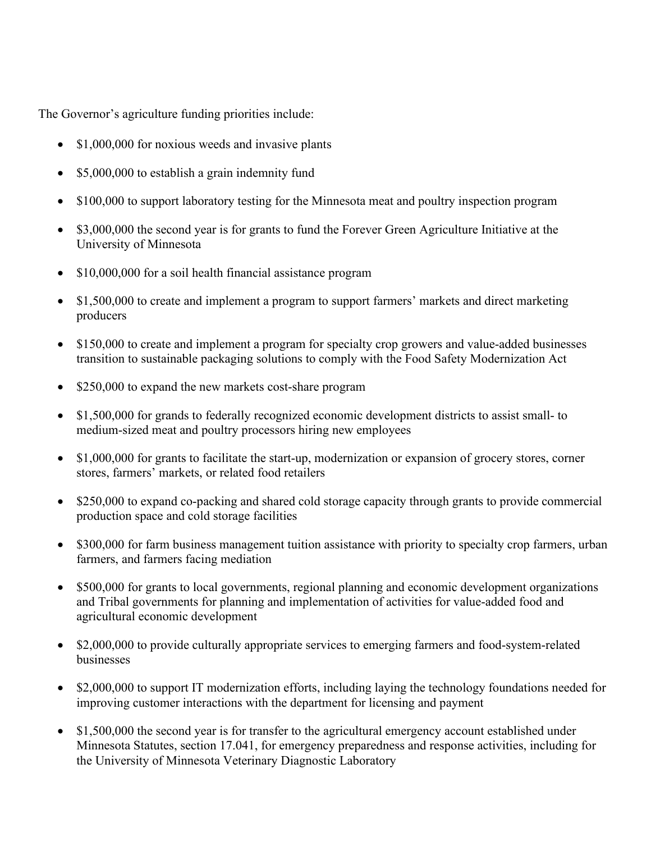The Governor's agriculture funding priorities include:

- \$1,000,000 for noxious weeds and invasive plants
- \$5,000,000 to establish a grain indemnity fund
- \$100,000 to support laboratory testing for the Minnesota meat and poultry inspection program
- \$3,000,000 the second year is for grants to fund the Forever Green Agriculture Initiative at the University of Minnesota
- \$10,000,000 for a soil health financial assistance program
- \$1,500,000 to create and implement a program to support farmers' markets and direct marketing producers
- \$150,000 to create and implement a program for specialty crop growers and value-added businesses transition to sustainable packaging solutions to comply with the Food Safety Modernization Act
- \$250,000 to expand the new markets cost-share program
- \$1,500,000 for grands to federally recognized economic development districts to assist small- to medium-sized meat and poultry processors hiring new employees
- \$1,000,000 for grants to facilitate the start-up, modernization or expansion of grocery stores, corner stores, farmers' markets, or related food retailers
- \$250,000 to expand co-packing and shared cold storage capacity through grants to provide commercial production space and cold storage facilities
- \$300,000 for farm business management tuition assistance with priority to specialty crop farmers, urban farmers, and farmers facing mediation
- \$500,000 for grants to local governments, regional planning and economic development organizations and Tribal governments for planning and implementation of activities for value-added food and agricultural economic development
- \$2,000,000 to provide culturally appropriate services to emerging farmers and food-system-related businesses
- \$2,000,000 to support IT modernization efforts, including laying the technology foundations needed for improving customer interactions with the department for licensing and payment
- \$1,500,000 the second year is for transfer to the agricultural emergency account established under Minnesota Statutes, section 17.041, for emergency preparedness and response activities, including for the University of Minnesota Veterinary Diagnostic Laboratory